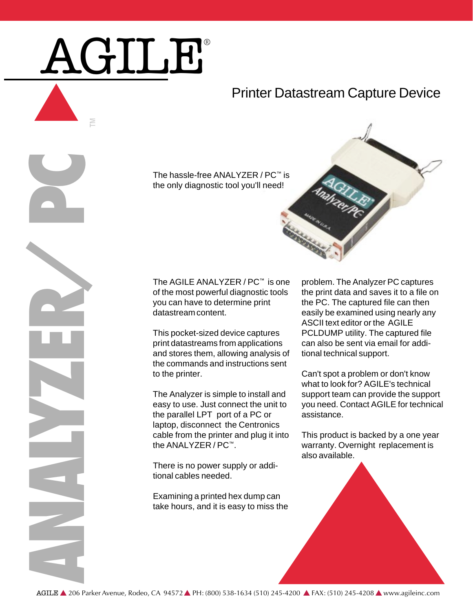## AGILE®

M

## Printer Datastream Capture Device

The hassle-free ANALYZER / PC™ is the only diagnostic tool you'll need!



of the most powerful diagnostic tools you can have to determine print datastream content.

This pocket-sized device captures print datastreams from applications and stores them, allowing analysis of the commands and instructions sent to the printer.

The hassle-free ANALYZER / PC™ is one<br>the only diagnostic tool you'll need!<br>the only diagnostic tool you'll need!<br>The AGILE ANALYZER / PC™ is one<br>of the most powerful diagnostic tools<br>you can have to determine print<br>datast The Analyzer is simple to install and easy to use. Just connect the unit to the parallel LPT port of a PC or laptop, disconnect the Centronics cable from the printer and plug it into the ANALYZER / PC™.

There is no power supply or additional cables needed.

Examining a printed hex dump can take hours, and it is easy to miss the problem. The Analyzer PC captures the print data and saves it to a file on the PC. The captured file can then easily be examined using nearly any ASCII text editor or the AGILE PCLDUMP utility. The captured file can also be sent via email for additional technical support.

Can't spot a problem or don't know what to look for? AGILE's technical support team can provide the support you need. Contact AGILE for technical assistance.

This product is backed by a one year warranty. Overnight replacement is also available.